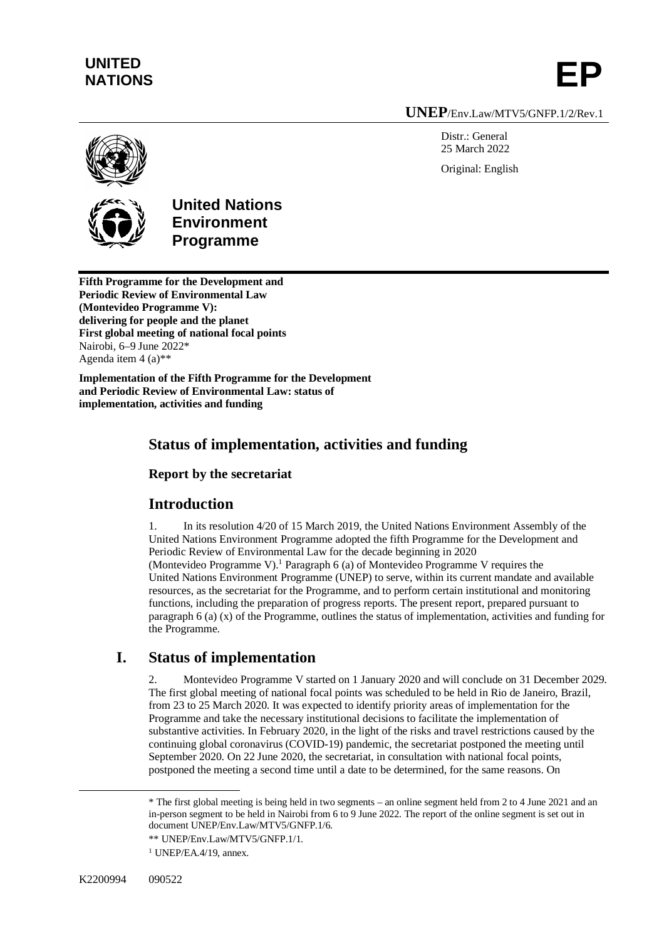# **UNITED**  UNITED<br>NATIONS **EP**

#### **UNEP**/Env.Law/MTV5/GNFP.1/2/Rev.1

Distr · General 25 March 2022 Original: English





### **United Nations Environment Programme**

**Fifth Programme for the Development and Periodic Review of Environmental Law (Montevideo Programme V): delivering for people and the planet First global meeting of national focal points** Nairobi, 6–9 June 2022\* Agenda item  $4(a)$ <sup>\*\*</sup>

**Implementation of the Fifth Programme for the Development and Periodic Review of Environmental Law: status of implementation, activities and funding**

### **Status of implementation, activities and funding**

**Report by the secretariat**

### **Introduction**

1. In its resolution 4/20 of 15 March 2019, the United Nations Environment Assembly of the United Nations Environment Programme adopted the fifth Programme for the Development and Periodic Review of Environmental Law for the decade beginning in 2020 (Montevideo Programme V).<sup>1</sup> Paragraph 6 (a) of Montevideo Programme V requires the United Nations Environment Programme (UNEP) to serve, within its current mandate and available resources, as the secretariat for the Programme, and to perform certain institutional and monitoring functions, including the preparation of progress reports. The present report, prepared pursuant to paragraph 6 (a) (x) of the Programme, outlines the status of implementation, activities and funding for the Programme.

### **I. Status of implementation**

2. Montevideo Programme V started on 1 January 2020 and will conclude on 31 December 2029. The first global meeting of national focal points was scheduled to be held in Rio de Janeiro, Brazil, from 23 to 25 March 2020. It was expected to identify priority areas of implementation for the Programme and take the necessary institutional decisions to facilitate the implementation of substantive activities. In February 2020, in the light of the risks and travel restrictions caused by the continuing global coronavirus (COVID-19) pandemic, the secretariat postponed the meeting until September 2020. On 22 June 2020, the secretariat, in consultation with national focal points, postponed the meeting a second time until a date to be determined, for the same reasons. On

<sup>\*</sup> The first global meeting is being held in two segments – an online segment held from 2 to 4 June 2021 and an in-person segment to be held in Nairobi from 6 to 9 June 2022. The report of the online segment is set out in document UNEP/Env.Law/MTV5/GNFP.1/6.

<sup>\*\*</sup> UNEP/Env.Law/MTV5/GNFP.1/1.

<sup>1</sup> UNEP/EA.4/19, annex.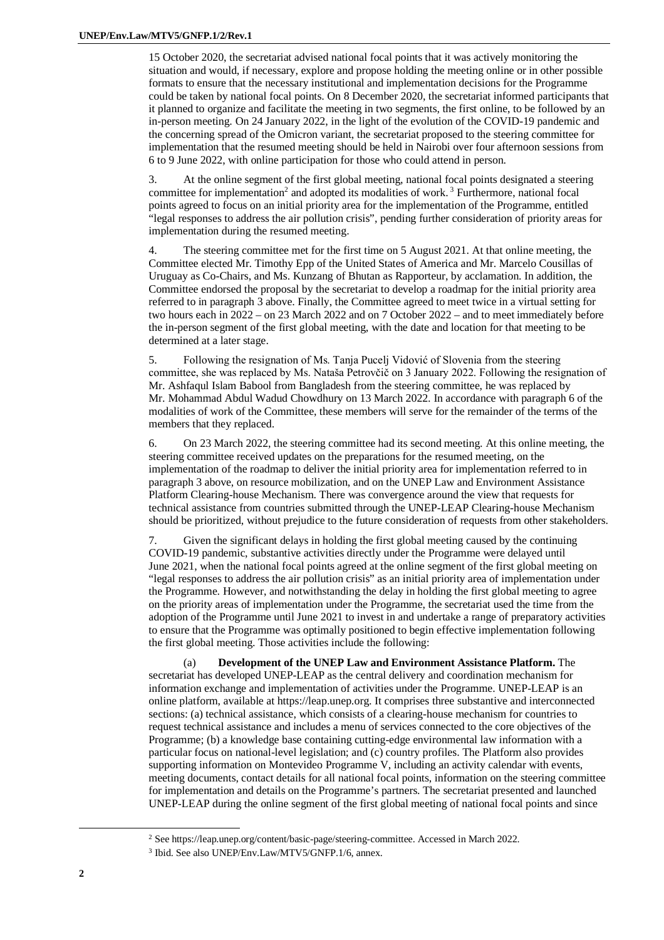15 October 2020, the secretariat advised national focal points that it was actively monitoring the situation and would, if necessary, explore and propose holding the meeting online or in other possible formats to ensure that the necessary institutional and implementation decisions for the Programme could be taken by national focal points. On 8 December 2020, the secretariat informed participants that it planned to organize and facilitate the meeting in two segments, the first online, to be followed by an in-person meeting. On 24 January 2022, in the light of the evolution of the COVID-19 pandemic and the concerning spread of the Omicron variant, the secretariat proposed to the steering committee for implementation that the resumed meeting should be held in Nairobi over four afternoon sessions from 6 to 9 June 2022, with online participation for those who could attend in person.

3. At the online segment of the first global meeting, national focal points designated a steering committee for implementation<sup>2</sup> and adopted its modalities of work.<sup>3</sup> Furthermore, national focal points agreed to focus on an initial priority area for the implementation of the Programme, entitled "legal responses to address the air pollution crisis", pending further consideration of priority areas for implementation during the resumed meeting.

4. The steering committee met for the first time on 5 August 2021. At that online meeting, the Committee elected Mr. Timothy Epp of the United States of America and Mr. Marcelo Cousillas of Uruguay as Co-Chairs, and Ms. Kunzang of Bhutan as Rapporteur, by acclamation. In addition, the Committee endorsed the proposal by the secretariat to develop a roadmap for the initial priority area referred to in paragraph 3 above. Finally, the Committee agreed to meet twice in a virtual setting for two hours each in 2022 – on 23 March 2022 and on 7 October 2022 – and to meet immediately before the in-person segment of the first global meeting, with the date and location for that meeting to be determined at a later stage.

5. Following the resignation of Ms. Tanja Pucelj Vidović of Slovenia from the steering committee, she was replaced by Ms. Nataša Petrovčič on 3 January 2022. Following the resignation of Mr. Ashfaqul Islam Babool from Bangladesh from the steering committee, he was replaced by Mr. Mohammad Abdul Wadud Chowdhury on 13 March 2022. In accordance with paragraph 6 of the modalities of work of the Committee, these members will serve for the remainder of the terms of the members that they replaced.

6. On 23 March 2022, the steering committee had its second meeting. At this online meeting, the steering committee received updates on the preparations for the resumed meeting, on the implementation of the roadmap to deliver the initial priority area for implementation referred to in paragraph 3 above, on resource mobilization, and on the UNEP Law and Environment Assistance Platform Clearing-house Mechanism. There was convergence around the view that requests for technical assistance from countries submitted through the UNEP-LEAP Clearing-house Mechanism should be prioritized, without prejudice to the future consideration of requests from other stakeholders.

7. Given the significant delays in holding the first global meeting caused by the continuing COVID-19 pandemic, substantive activities directly under the Programme were delayed until June 2021, when the national focal points agreed at the online segment of the first global meeting on "legal responses to address the air pollution crisis" as an initial priority area of implementation under the Programme. However, and notwithstanding the delay in holding the first global meeting to agree on the priority areas of implementation under the Programme, the secretariat used the time from the adoption of the Programme until June 2021 to invest in and undertake a range of preparatory activities to ensure that the Programme was optimally positioned to begin effective implementation following the first global meeting. Those activities include the following:

(a) **Development of the UNEP Law and Environment Assistance Platform.** The secretariat has developed UNEP-LEAP as the central delivery and coordination mechanism for information exchange and implementation of activities under the Programme. UNEP-LEAP is an online platform, available at <https://leap.unep.org.> It comprises three substantive and interconnected sections: (a) technical assistance, which consists of a clearing-house mechanism for countries to request technical assistance and includes a menu of services connected to the core objectives of the Programme; (b) a knowledge base containing cutting-edge environmental law information with a particular focus on national-level legislation; and (c) country profiles. The Platform also provides supporting information on Montevideo Programme V, including an activity calendar with events, meeting documents, contact details for all national focal points, information on the steering committee for implementation and details on the Programme's partners. The secretariat presented and launched UNEP-LEAP during the online segment of the first global meeting of national focal points and since

<sup>2</sup> See <https://leap.unep.org/content/basic-page/steering-committee.> Accessed in March 2022.

<sup>3</sup> Ibid. See also UNEP/Env.Law/MTV5/GNFP.1/6, annex.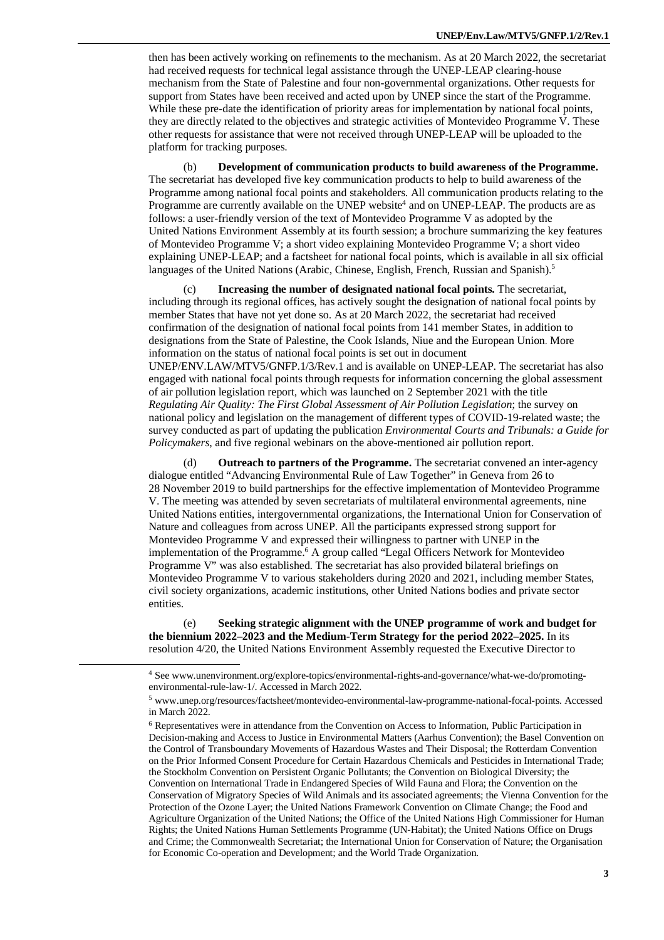then has been actively working on refinements to the mechanism. As at 20 March 2022, the secretariat had received requests for technical legal assistance through the UNEP-LEAP clearing-house mechanism from the State of Palestine and four non-governmental organizations. Other requests for support from States have been received and acted upon by UNEP since the start of the Programme. While these pre-date the identification of priority areas for implementation by national focal points, they are directly related to the objectives and strategic activities of Montevideo Programme V. These other requests for assistance that were not received through UNEP-LEAP will be uploaded to the platform for tracking purposes.

(b) **Development of communication products to build awareness of the Programme.** The secretariat has developed five key communication products to help to build awareness of the Programme among national focal points and stakeholders. All communication products relating to the Programme are currently available on the UNEP website<sup>4</sup> and on UNEP-LEAP. The products are as follows: a user-friendly version of the text of Montevideo Programme V as adopted by the United Nations Environment Assembly at its fourth session; a brochure summarizing the key features of Montevideo Programme V; a short video explaining Montevideo Programme V; a short video explaining UNEP-LEAP; and a factsheet for national focal points, which is available in all six official languages of the United Nations (Arabic, Chinese, English, French, Russian and Spanish).<sup>5</sup>

(c) **Increasing the number of designated national focal points.** The secretariat, including through its regional offices, has actively sought the designation of national focal points by member States that have not yet done so. As at 20 March 2022, the secretariat had received confirmation of the designation of national focal points from 141 member States, in addition to designations from the State of Palestine, the Cook Islands, Niue and the European Union. More information on the status of national focal points is set out in document UNEP/ENV.LAW/MTV5/GNFP.1/3/Rev.1 and is available on UNEP-LEAP. The secretariat has also engaged with national focal points through requests for information concerning the global assessment of air pollution legislation report, which was launched on 2 September 2021 with the title *Regulating Air Quality: The First Global Assessment of Air Pollution Legislation*; the survey on national policy and legislation on the management of different types of COVID-19-related waste; the survey conducted as part of updating the publication *Environmental Courts and Tribunals: a Guide for Policymakers*, and five regional webinars on the above-mentioned air pollution report.

(d) **Outreach to partners of the Programme.** The secretariat convened an inter-agency dialogue entitled "Advancing Environmental Rule of Law Together" in Geneva from 26 to 28 November 2019 to build partnerships for the effective implementation of Montevideo Programme V. The meeting was attended by seven secretariats of multilateral environmental agreements, nine United Nations entities, intergovernmental organizations, the International Union for Conservation of Nature and colleagues from across UNEP. All the participants expressed strong support for Montevideo Programme V and expressed their willingness to partner with UNEP in the implementation of the Programme. <sup>6</sup> A group called "Legal Officers Network for Montevideo Programme V" was also established. The secretariat has also provided bilateral briefings on Montevideo Programme V to various stakeholders during 2020 and 2021, including member States, civil society organizations, academic institutions, other United Nations bodies and private sector entities.

(e) **Seeking strategic alignment with the UNEP programme of work and budget for the biennium 2022–2023 and the Medium-Term Strategy for the period 2022–2025.** In its resolution 4/20, the United Nations Environment Assembly requested the Executive Director to

<sup>4</sup> See [www.unenvironment.org/explore-topics/environmental-rights-and-governance/what-we-do/promoting](http://www.unenvironment.org/explore-topics/environmental-rights-and-governance/what-we-do/promoting-)environmental-rule-law-1/. Accessed in March 2022.

<sup>5</sup> [www.unep.org/resources/factsheet/montevideo-environmental-law-programme-national-focal-points.](http://www.unep.org/resources/factsheet/montevideo-environmental-law-programme-national-focal-points.) Accessed in March 2022.

<sup>6</sup> Representatives were in attendance from the Convention on Access to Information, Public Participation in Decision-making and Access to Justice in Environmental Matters (Aarhus Convention); the Basel Convention on the Control of Transboundary Movements of Hazardous Wastes and Their Disposal; the Rotterdam Convention on the Prior Informed Consent Procedure for Certain Hazardous Chemicals and Pesticides in International Trade; the Stockholm Convention on Persistent Organic Pollutants; the Convention on Biological Diversity; the Convention on International Trade in Endangered Species of Wild Fauna and Flora; the Convention on the Conservation of Migratory Species of Wild Animals and its associated agreements; the Vienna Convention for the Protection of the Ozone Layer; the United Nations Framework Convention on Climate Change; the Food and Agriculture Organization of the United Nations; the Office of the United Nations High Commissioner for Human Rights; the United Nations Human Settlements Programme (UN-Habitat); the United Nations Office on Drugs and Crime; the Commonwealth Secretariat; the International Union for Conservation of Nature; the Organisation for Economic Co-operation and Development; and the World Trade Organization.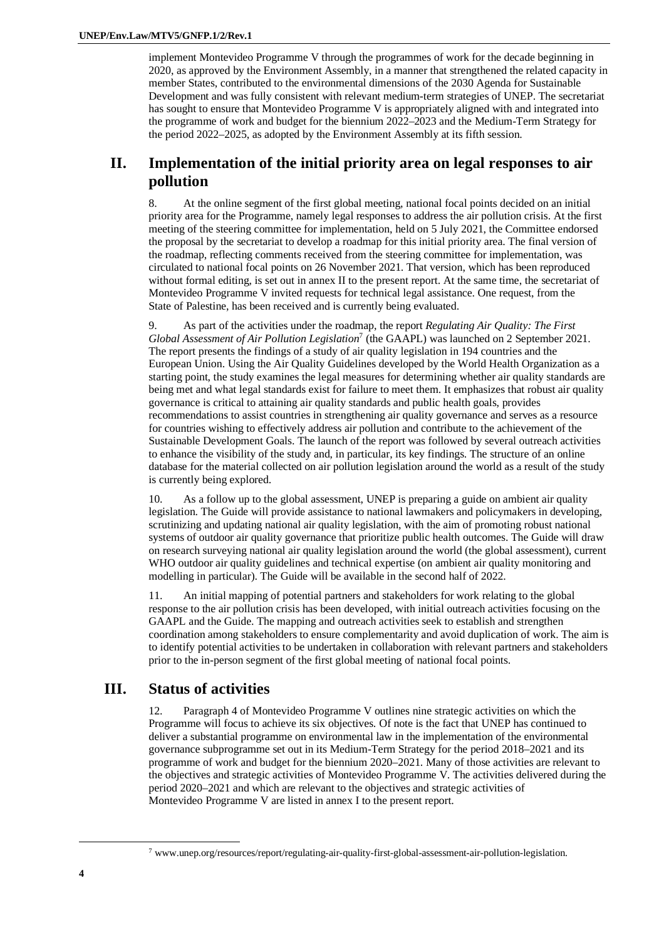implement Montevideo Programme V through the programmes of work for the decade beginning in 2020, as approved by the Environment Assembly, in a manner that strengthened the related capacity in member States, contributed to the environmental dimensions of the 2030 Agenda for Sustainable Development and was fully consistent with relevant medium-term strategies of UNEP. The secretariat has sought to ensure that Montevideo Programme V is appropriately aligned with and integrated into the programme of work and budget for the biennium 2022–2023 and the Medium-Term Strategy for the period 2022–2025, as adopted by the Environment Assembly at its fifth session.

#### **II. Implementation of the initial priority area on legal responses to air pollution**

8. At the online segment of the first global meeting, national focal points decided on an initial priority area for the Programme, namely legal responses to address the air pollution crisis. At the first meeting of the steering committee for implementation, held on 5 July 2021, the Committee endorsed the proposal by the secretariat to develop a roadmap for this initial priority area. The final version of the roadmap, reflecting comments received from the steering committee for implementation, was circulated to national focal points on 26 November 2021. That version, which has been reproduced without formal editing, is set out in annex II to the present report. At the same time, the secretariat of Montevideo Programme V invited requests for technical legal assistance. One request, from the State of Palestine, has been received and is currently being evaluated.

9. As part of the activities under the roadmap, the report *Regulating Air Quality: The First Global Assessment of Air Pollution Legislation*<sup>7</sup> (the GAAPL) was launched on 2 September 2021. The report presents the findings of a study of air quality legislation in 194 countries and the European Union. Using the Air Quality Guidelines developed by the World Health Organization as a starting point, the study examines the legal measures for determining whether air quality standards are being met and what legal standards exist for failure to meet them. It emphasizes that robust air quality governance is critical to attaining air quality standards and public health goals, provides recommendations to assist countries in strengthening air quality governance and serves as a resource for countries wishing to effectively address air pollution and contribute to the achievement of the Sustainable Development Goals. The launch of the report was followed by several outreach activities to enhance the visibility of the study and, in particular, its key findings. The structure of an online database for the material collected on air pollution legislation around the world as a result of the study is currently being explored.

10. As a follow up to the global assessment, UNEP is preparing a guide on ambient air quality legislation. The Guide will provide assistance to national lawmakers and policymakers in developing, scrutinizing and updating national air quality legislation, with the aim of promoting robust national systems of outdoor air quality governance that prioritize public health outcomes. The Guide will draw on research surveying national air quality legislation around the world (the global assessment), current WHO outdoor air quality guidelines and technical expertise (on ambient air quality monitoring and modelling in particular). The Guide will be available in the second half of 2022.

11. An initial mapping of potential partners and stakeholders for work relating to the global response to the air pollution crisis has been developed, with initial outreach activities focusing on the GAAPL and the Guide. The mapping and outreach activities seek to establish and strengthen coordination among stakeholders to ensure complementarity and avoid duplication of work. The aim is to identify potential activities to be undertaken in collaboration with relevant partners and stakeholders prior to the in-person segment of the first global meeting of national focal points.

#### **III. Status of activities**

12. Paragraph 4 of Montevideo Programme V outlines nine strategic activities on which the Programme will focus to achieve its six objectives. Of note is the fact that UNEP has continued to deliver a substantial programme on environmental law in the implementation of the environmental governance subprogramme set out in its Medium-Term Strategy for the period 2018–2021 and its programme of work and budget for the biennium 2020–2021. Many of those activities are relevant to the objectives and strategic activities of Montevideo Programme V. The activities delivered during the period 2020–2021 and which are relevant to the objectives and strategic activities of Montevideo Programme V are listed in annex I to the present report.

<sup>7</sup> [www.unep.org/resources/report/regulating-air-quality-first-global-assessment-air-pollution-legislation.](http://www.unep.org/resources/report/regulating-air-quality-first-global-assessment-air-pollution-legislation.)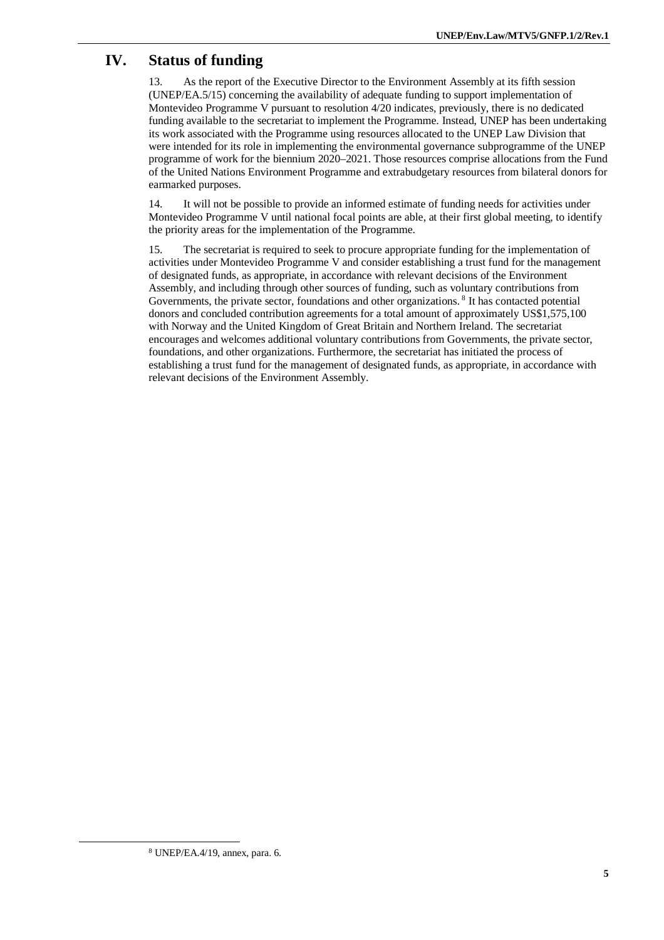## **IV. Status of funding**

13. As the report of the Executive Director to the Environment Assembly at its fifth session (UNEP/EA.5/15) concerning the availability of adequate funding to support implementation of Montevideo Programme V pursuant to resolution 4/20 indicates, previously, there is no dedicated funding available to the secretariat to implement the Programme. Instead, UNEP has been undertaking its work associated with the Programme using resources allocated to the UNEP Law Division that were intended for its role in implementing the environmental governance subprogramme of the UNEP programme of work for the biennium 2020–2021. Those resources comprise allocations from the Fund of the United Nations Environment Programme and extrabudgetary resources from bilateral donors for earmarked purposes.

14. It will not be possible to provide an informed estimate of funding needs for activities under Montevideo Programme V until national focal points are able, at their first global meeting, to identify the priority areas for the implementation of the Programme.

15. The secretariat is required to seek to procure appropriate funding for the implementation of activities under Montevideo Programme V and consider establishing a trust fund for the management of designated funds, as appropriate, in accordance with relevant decisions of the Environment Assembly, and including through other sources of funding, such as voluntary contributions from Governments, the private sector, foundations and other organizations.<sup>8</sup> It has contacted potential donors and concluded contribution agreements for a total amount of approximately US\$1,575,100 with Norway and the United Kingdom of Great Britain and Northern Ireland. The secretariat encourages and welcomes additional voluntary contributions from Governments, the private sector, foundations, and other organizations. Furthermore, the secretariat has initiated the process of establishing a trust fund for the management of designated funds, as appropriate, in accordance with relevant decisions of the Environment Assembly.

<sup>8</sup> UNEP/EA.4/19, annex, para. 6.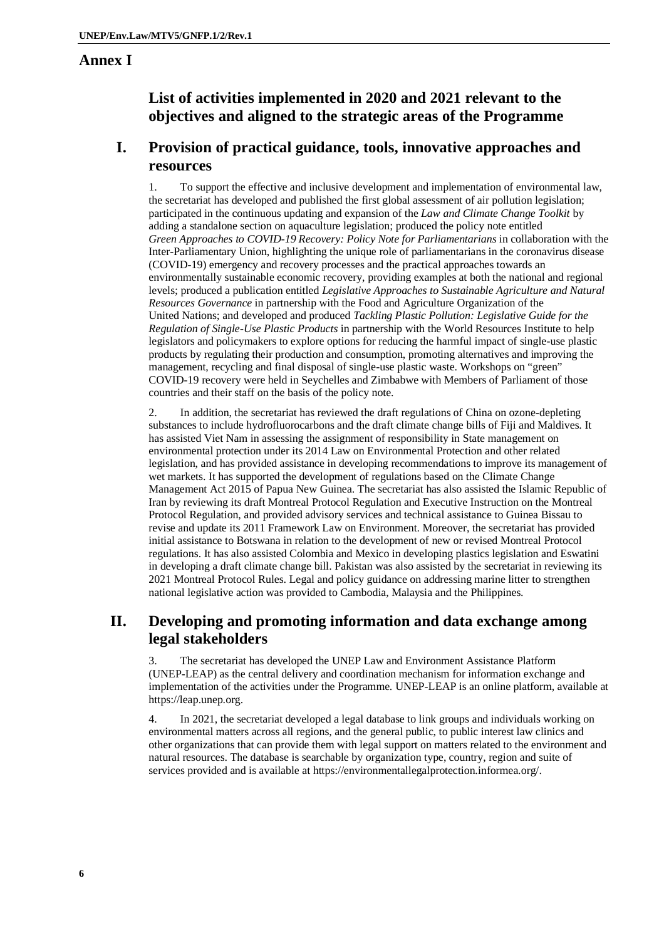#### **Annex I**

## **List of activities implemented in 2020 and 2021 relevant to the objectives and aligned to the strategic areas of the Programme**

#### **I. Provision of practical guidance, tools, innovative approaches and resources**

1. To support the effective and inclusive development and implementation of environmental law, the secretariat has developed and published the first global assessment of air pollution legislation; participated in the continuous updating and expansion of the *Law and Climate Change Toolkit* by adding a standalone section on aquaculture legislation; produced the policy note entitled *Green Approaches to COVID-19 Recovery: Policy Note for Parliamentarians* in collaboration with the Inter-Parliamentary Union, highlighting the unique role of parliamentarians in the coronavirus disease (COVID-19) emergency and recovery processes and the practical approaches towards an environmentally sustainable economic recovery, providing examples at both the national and regional levels; produced a publication entitled *Legislative Approaches to Sustainable Agriculture and Natural Resources Governance* in partnership with the Food and Agriculture Organization of the United Nations; and developed and produced *Tackling Plastic Pollution: Legislative Guide for the Regulation of Single-Use Plastic Products* in partnership with the World Resources Institute to help legislators and policymakers to explore options for reducing the harmful impact of single-use plastic products by regulating their production and consumption, promoting alternatives and improving the management, recycling and final disposal of single-use plastic waste. Workshops on "green" COVID-19 recovery were held in Seychelles and Zimbabwe with Members of Parliament of those countries and their staff on the basis of the policy note.

2. In addition, the secretariat has reviewed the draft regulations of China on ozone-depleting substances to include hydrofluorocarbons and the draft climate change bills of Fiji and Maldives. It has assisted Viet Nam in assessing the assignment of responsibility in State management on environmental protection under its 2014 Law on Environmental Protection and other related legislation, and has provided assistance in developing recommendations to improve its management of wet markets. It has supported the development of regulations based on the Climate Change Management Act 2015 of Papua New Guinea. The secretariat has also assisted the Islamic Republic of Iran by reviewing its draft Montreal Protocol Regulation and Executive Instruction on the Montreal Protocol Regulation, and provided advisory services and technical assistance to Guinea Bissau to revise and update its 2011 Framework Law on Environment. Moreover, the secretariat has provided initial assistance to Botswana in relation to the development of new or revised Montreal Protocol regulations. It has also assisted Colombia and Mexico in developing plastics legislation and Eswatini in developing a draft climate change bill. Pakistan was also assisted by the secretariat in reviewing its 2021 Montreal Protocol Rules. Legal and policy guidance on addressing marine litter to strengthen national legislative action was provided to Cambodia, Malaysia and the Philippines.

### **II. Developing and promoting information and data exchange among legal stakeholders**

3. The secretariat has developed the UNEP Law and Environment Assistance Platform (UNEP-LEAP) as the central delivery and coordination mechanism for information exchange and implementation of the activities under the Programme. UNEP-LEAP is an online platform, available at <https://leap.unep.org.>

4. In 2021, the secretariat developed a legal database to link groups and individuals working on environmental matters across all regions, and the general public, to public interest law clinics and other organizations that can provide them with legal support on matters related to the environment and natural resources. The database is searchable by organization type, country, region and suite of services provided and is available at <https://environmentallegalprotection.informea.org/.>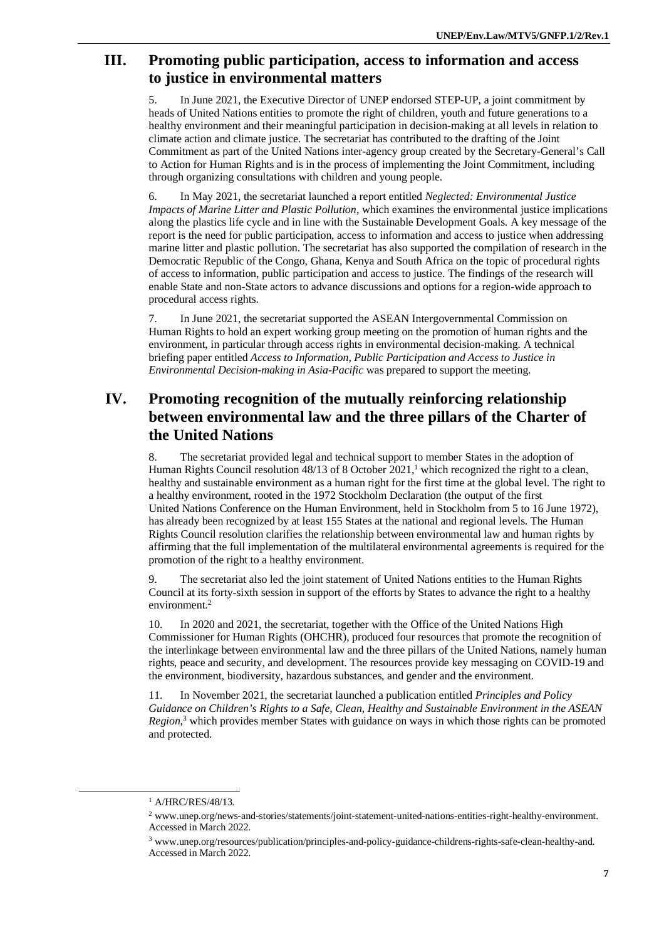#### **III. Promoting public participation, access to information and access to justice in environmental matters**

5. In June 2021, the Executive Director of UNEP endorsed STEP-UP, a joint commitment by heads of United Nations entities to promote the right of children, youth and future generations to a healthy environment and their meaningful participation in decision-making at all levels in relation to climate action and climate justice. The secretariat has contributed to the drafting of the Joint Commitment as part of the United Nations inter-agency group created by the Secretary-General's Call to Action for Human Rights and is in the process of implementing the Joint Commitment, including through organizing consultations with children and young people.

6. In May 2021, the secretariat launched a report entitled *Neglected: Environmental Justice Impacts of Marine Litter and Plastic Pollution*, which examines the environmental justice implications along the plastics life cycle and in line with the Sustainable Development Goals. A key message of the report is the need for public participation, access to information and access to justice when addressing marine litter and plastic pollution. The secretariat has also supported the compilation of research in the Democratic Republic of the Congo, Ghana, Kenya and South Africa on the topic of procedural rights of access to information, public participation and access to justice. The findings of the research will enable State and non-State actors to advance discussions and options for a region-wide approach to procedural access rights.

7. In June 2021, the secretariat supported the ASEAN Intergovernmental Commission on Human Rights to hold an expert working group meeting on the promotion of human rights and the environment, in particular through access rights in environmental decision-making. A technical briefing paper entitled *Access to Information, Public Participation and Access to Justice in Environmental Decision-making in Asia-Pacific* was prepared to support the meeting.

## **IV. Promoting recognition of the mutually reinforcing relationship between environmental law and the three pillars of the Charter of the United Nations**

8. The secretariat provided legal and technical support to member States in the adoption of Human Rights Council resolution  $48/13$  of 8 October 2021,<sup>1</sup> which recognized the right to a clean, healthy and sustainable environment as a human right for the first time at the global level. The right to a healthy environment, rooted in the 1972 Stockholm Declaration (the output of the first United Nations Conference on the Human Environment, held in Stockholm from 5 to 16 June 1972), has already been recognized by at least 155 States at the national and regional levels. The Human Rights Council resolution clarifies the relationship between environmental law and human rights by affirming that the full implementation of the multilateral environmental agreements is required for the promotion of the right to a healthy environment.

9. The secretariat also led the joint statement of United Nations entities to the Human Rights Council at its forty-sixth session in support of the efforts by States to advance the right to a healthy environment.<sup>2</sup>

10. In 2020 and 2021, the secretariat, together with the Office of the United Nations High Commissioner for Human Rights (OHCHR), produced four resources that promote the recognition of the interlinkage between environmental law and the three pillars of the United Nations, namely human rights, peace and security, and development. The resources provide key messaging on COVID-19 and the environment, biodiversity, hazardous substances, and gender and the environment.

11. In November 2021, the secretariat launched a publication entitled *Principles and Policy Guidance on Children's Rights to a Safe, Clean, Healthy and Sustainable Environment in the ASEAN Region*, <sup>3</sup> which provides member States with guidance on ways in which those rights can be promoted and protected.

<sup>1</sup> A/HRC/RES/48/13.

<sup>2</sup> [www.unep.org/news-and-stories/statements/joint-statement-united-nations-entities-right-healthy-environment.](http://www.unep.org/news-and-stories/statements/joint-statement-united-nations-entities-right-healthy-environment.) Accessed in March 2022.

<sup>3</sup> [www.unep.org/resources/publication/principles-and-policy-guidance-childrens-rights-safe-clean-healthy-and.](http://www.unep.org/resources/publication/principles-and-policy-guidance-childrens-rights-safe-clean-healthy-and.) Accessed in March 2022.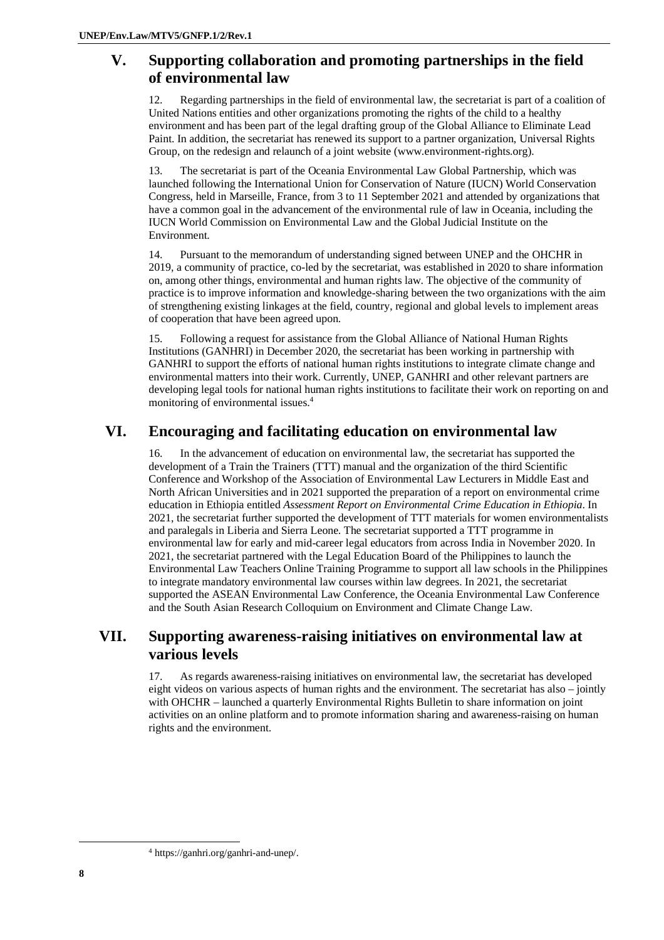### **V. Supporting collaboration and promoting partnerships in the field of environmental law**

Regarding partnerships in the field of environmental law, the secretariat is part of a coalition of United Nations entities and other organizations promoting the rights of the child to a healthy environment and has been part of the legal drafting group of the Global Alliance to Eliminate Lead Paint. In addition, the secretariat has renewed its support to a partner organization, Universal Rights Group, on the redesign and relaunch of a joint website [\(www.environment-rights.org\).](http://www.environment-rights.org).) 

13. The secretariat is part of the Oceania Environmental Law Global Partnership, which was launched following the International Union for Conservation of Nature (IUCN) World Conservation Congress, held in Marseille, France, from 3 to 11 September 2021 and attended by organizations that have a common goal in the advancement of the environmental rule of law in Oceania, including the IUCN World Commission on Environmental Law and the Global Judicial Institute on the Environment.

14. Pursuant to the memorandum of understanding signed between UNEP and the OHCHR in 2019, a community of practice, co-led by the secretariat, was established in 2020 to share information on, among other things, environmental and human rights law. The objective of the community of practice is to improve information and knowledge-sharing between the two organizations with the aim of strengthening existing linkages at the field, country, regional and global levels to implement areas of cooperation that have been agreed upon.

15. Following a request for assistance from the Global Alliance of National Human Rights Institutions (GANHRI) in December 2020, the secretariat has been working in partnership with GANHRI to support the efforts of national human rights institutions to integrate climate change and environmental matters into their work. Currently, UNEP, GANHRI and other relevant partners are developing legal tools for national human rights institutions to facilitate their work on reporting on and monitoring of environmental issues.<sup>4</sup>

## **VI. Encouraging and facilitating education on environmental law**

16. In the advancement of education on environmental law, the secretariat has supported the development of a Train the Trainers (TTT) manual and the organization of the third Scientific Conference and Workshop of the Association of Environmental Law Lecturers in Middle East and North African Universities and in 2021 supported the preparation of a report on environmental crime education in Ethiopia entitled *Assessment Report on Environmental Crime Education in Ethiopia*. In 2021, the secretariat further supported the development of TTT materials for women environmentalists and paralegals in Liberia and Sierra Leone. The secretariat supported a TTT programme in environmental law for early and mid-career legal educators from across India in November 2020. In 2021, the secretariat partnered with the Legal Education Board of the Philippines to launch the Environmental Law Teachers Online Training Programme to support all law schools in the Philippines to integrate mandatory environmental law courses within law degrees. In 2021, the secretariat supported the ASEAN Environmental Law Conference, the Oceania Environmental Law Conference and the South Asian Research Colloquium on Environment and Climate Change Law.

### **VII. Supporting awareness-raising initiatives on environmental law at various levels**

17. As regards awareness-raising initiatives on environmental law, the secretariat has developed eight videos on various aspects of human rights and the environment. The secretariat has also – jointly with OHCHR – launched a quarterly Environmental Rights Bulletin to share information on joint activities on an online platform and to promote information sharing and awareness-raising on human rights and the environment.

<sup>4</sup> <https://ganhri.org/ganhri-and-unep/.>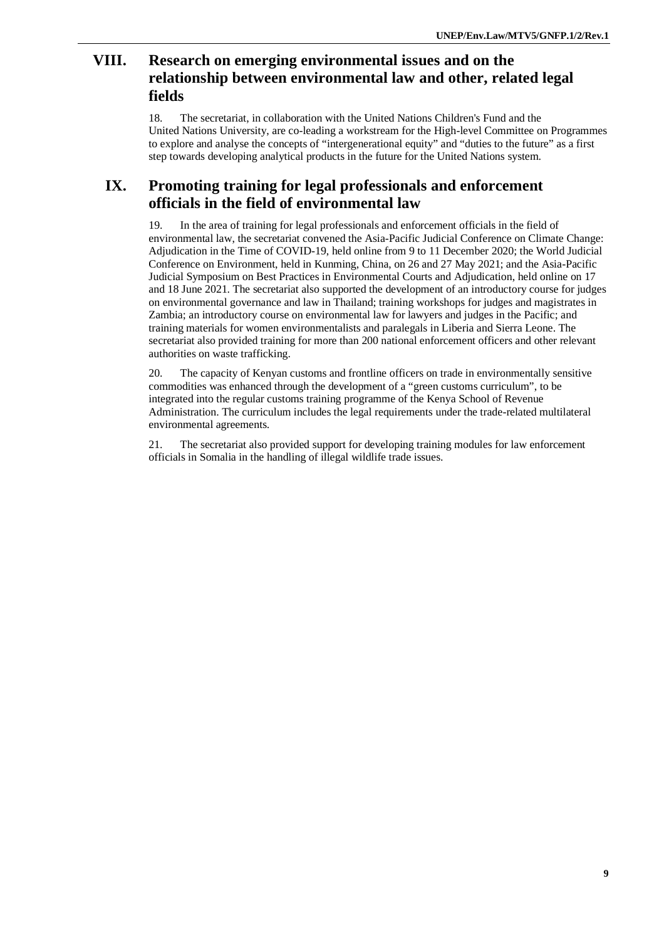### **VIII. Research on emerging environmental issues and on the relationship between environmental law and other, related legal fields**

18. The secretariat, in collaboration with the United Nations Children's Fund and the United Nations University, are co-leading a workstream for the High-level Committee on Programmes to explore and analyse the concepts of "intergenerational equity" and "duties to the future" as a first step towards developing analytical products in the future for the United Nations system.

### **IX. Promoting training for legal professionals and enforcement officials in the field of environmental law**

19. In the area of training for legal professionals and enforcement officials in the field of environmental law, the secretariat convened the Asia-Pacific Judicial Conference on Climate Change: Adjudication in the Time of COVID-19, held online from 9 to 11 December 2020; the World Judicial Conference on Environment, held in Kunming, China, on 26 and 27 May 2021; and the Asia-Pacific Judicial Symposium on Best Practices in Environmental Courts and Adjudication, held online on 17 and 18 June 2021. The secretariat also supported the development of an introductory course for judges on environmental governance and law in Thailand; training workshops for judges and magistrates in Zambia; an introductory course on environmental law for lawyers and judges in the Pacific; and training materials for women environmentalists and paralegals in Liberia and Sierra Leone. The secretariat also provided training for more than 200 national enforcement officers and other relevant authorities on waste trafficking.

20. The capacity of Kenyan customs and frontline officers on trade in environmentally sensitive commodities was enhanced through the development of a "green customs curriculum", to be integrated into the regular customs training programme of the Kenya School of Revenue Administration. The curriculum includes the legal requirements under the trade-related multilateral environmental agreements.

21. The secretariat also provided support for developing training modules for law enforcement officials in Somalia in the handling of illegal wildlife trade issues.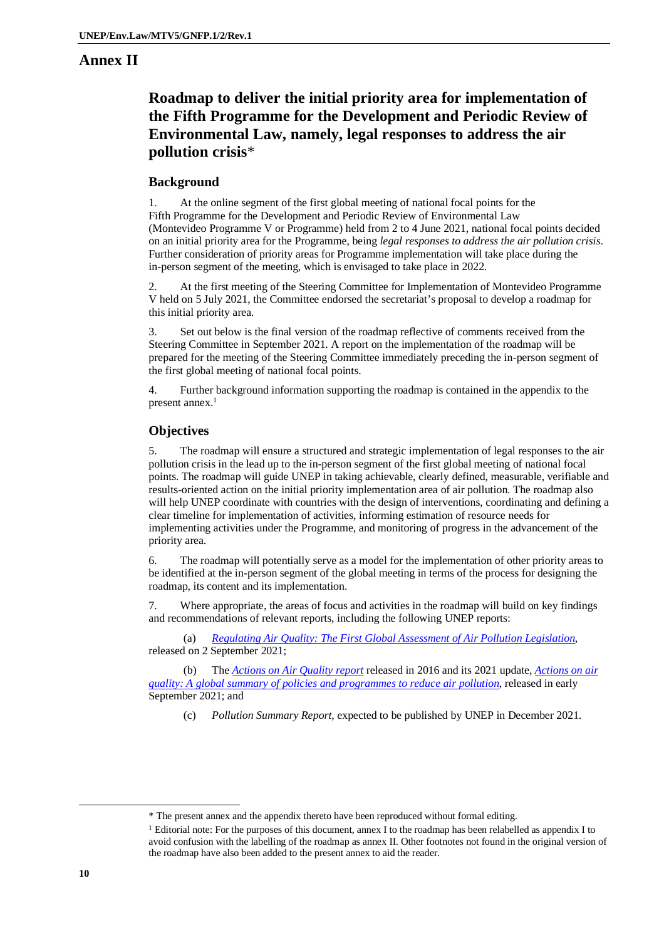#### **Annex II**

## **Roadmap to deliver the initial priority area for implementation of the Fifth Programme for the Development and Periodic Review of Environmental Law, namely, legal responses to address the air pollution crisis**\*

#### **Background**

At the online segment of the first global meeting of national focal points for the Fifth Programme for the Development and Periodic Review of Environmental Law (Montevideo Programme V or Programme) held from 2 to 4 June 2021, national focal points decided on an initial priority area for the Programme, being *legal responses to address the air pollution crisis*. Further consideration of priority areas for Programme implementation will take place during the in-person segment of the meeting, which is envisaged to take place in 2022.

2. At the first meeting of the Steering Committee for Implementation of Montevideo Programme V held on 5 July 2021, the Committee endorsed the secretariat's proposal to develop a roadmap for this initial priority area.

3. Set out below is the final version of the roadmap reflective of comments received from the Steering Committee in September 2021. A report on the implementation of the roadmap will be prepared for the meeting of the Steering Committee immediately preceding the in-person segment of the first global meeting of national focal points.

4. Further background information supporting the roadmap is contained in the appendix to the present annex. 1

#### **Objectives**

5. The roadmap will ensure a structured and strategic implementation of legal responses to the air pollution crisis in the lead up to the in-person segment of the first global meeting of national focal points. The roadmap will guide UNEP in taking achievable, clearly defined, measurable, verifiable and results-oriented action on the initial priority implementation area of air pollution. The roadmap also will help UNEP coordinate with countries with the design of interventions, coordinating and defining a clear timeline for implementation of activities, informing estimation of resource needs for implementing activities under the Programme, and monitoring of progress in the advancement of the priority area.

6. The roadmap will potentially serve as a model for the implementation of other priority areas to be identified at the in-person segment of the global meeting in terms of the process for designing the roadmap, its content and its implementation.

7. Where appropriate, the areas of focus and activities in the roadmap will build on key findings and recommendations of relevant reports, including the following UNEP reports:

(a) *Regulating Air Quality: The First Global Assessment of Air Pollution Legislation*, released on 2 September 2021;

(b) The *Actions on Air Quality report* released in 2016 and its 2021 update, *Actions on air quality: A global summary of policies and programmes to reduce air pollution*, released in early September 2021; and

(c) *Pollution Summary Report*, expected to be published by UNEP in December 2021.

<sup>\*</sup> The present annex and the appendix thereto have been reproduced without formal editing.

<sup>1</sup> Editorial note: For the purposes of this document, annex I to the roadmap has been relabelled as appendix I to avoid confusion with the labelling of the roadmap as annex II. Other footnotes not found in the original version of the roadmap have also been added to the present annex to aid the reader.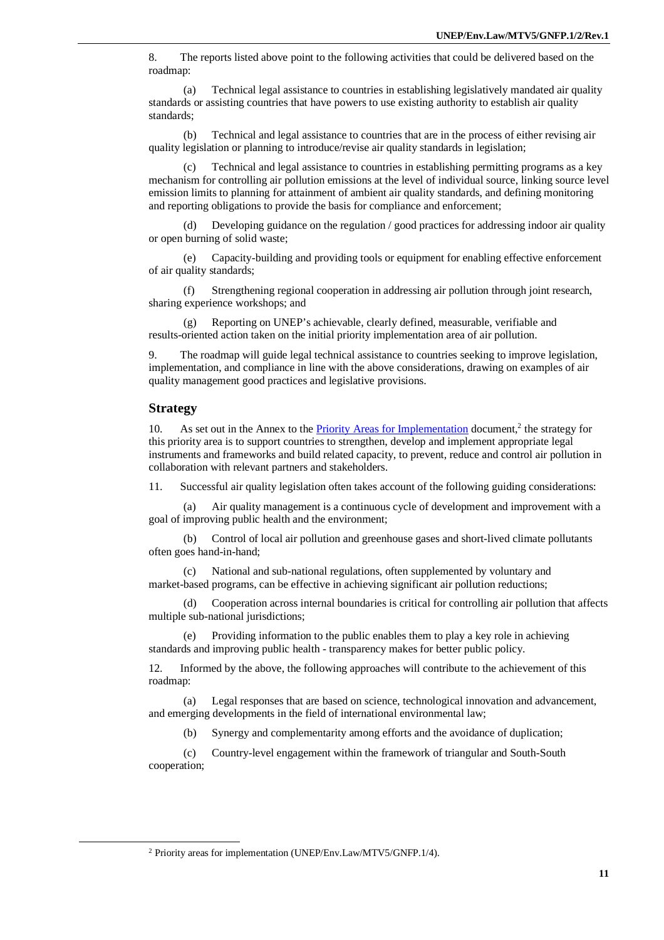8. The reports listed above point to the following activities that could be delivered based on the roadmap:

(a) Technical legal assistance to countries in establishing legislatively mandated air quality standards or assisting countries that have powers to use existing authority to establish air quality standards;

(b) Technical and legal assistance to countries that are in the process of either revising air quality legislation or planning to introduce/revise air quality standards in legislation;

Technical and legal assistance to countries in establishing permitting programs as a key mechanism for controlling air pollution emissions at the level of individual source, linking source level emission limits to planning for attainment of ambient air quality standards, and defining monitoring and reporting obligations to provide the basis for compliance and enforcement;

(d) Developing guidance on the regulation / good practices for addressing indoor air quality or open burning of solid waste;

(e) Capacity-building and providing tools or equipment for enabling effective enforcement of air quality standards;

(f) Strengthening regional cooperation in addressing air pollution through joint research, sharing experience workshops; and

(g) Reporting on UNEP's achievable, clearly defined, measurable, verifiable and results-oriented action taken on the initial priority implementation area of air pollution.

9. The roadmap will guide legal technical assistance to countries seeking to improve legislation, implementation, and compliance in line with the above considerations, drawing on examples of air quality management good practices and legislative provisions.

#### **Strategy**

10. As set out in the Annex to the **Priority Areas for Implementation** document,<sup>2</sup> the strategy for this priority area is to support countries to strengthen, develop and implement appropriate legal instruments and frameworks and build related capacity, to prevent, reduce and control air pollution in collaboration with relevant partners and stakeholders.

11. Successful air quality legislation often takes account of the following guiding considerations:

Air quality management is a continuous cycle of development and improvement with a goal of improving public health and the environment;

(b) Control of local air pollution and greenhouse gases and short-lived climate pollutants often goes hand-in-hand;

(c) National and sub-national regulations, often supplemented by voluntary and market-based programs, can be effective in achieving significant air pollution reductions;

(d) Cooperation across internal boundaries is critical for controlling air pollution that affects multiple sub-national jurisdictions;

(e) Providing information to the public enables them to play a key role in achieving standards and improving public health - transparency makes for better public policy.

12. Informed by the above, the following approaches will contribute to the achievement of this roadmap:

Legal responses that are based on science, technological innovation and advancement, and emerging developments in the field of international environmental law;

(b) Synergy and complementarity among efforts and the avoidance of duplication;

(c) Country-level engagement within the framework of triangular and South-South cooperation;

<sup>2</sup> Priority areas for implementation (UNEP/Env.Law/MTV5/GNFP.1/4).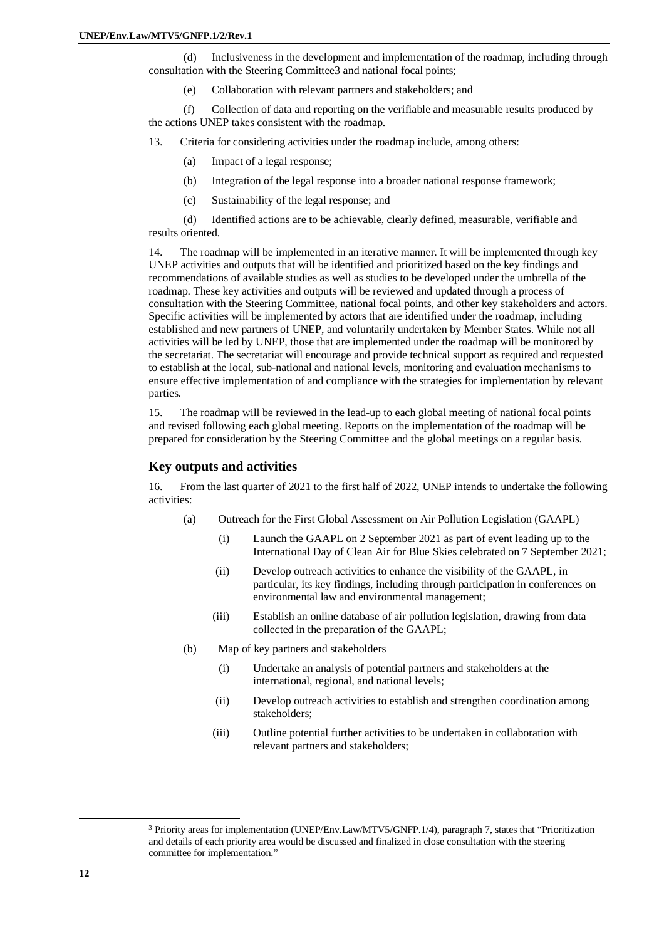(d) Inclusiveness in the development and implementation of the roadmap, including through consultation with the Steering Committee3 and national focal points;

(e) Collaboration with relevant partners and stakeholders; and

(f) Collection of data and reporting on the verifiable and measurable results produced by the actions UNEP takes consistent with the roadmap.

13. Criteria for considering activities under the roadmap include, among others:

- (a) Impact of a legal response;
- (b) Integration of the legal response into a broader national response framework;
- (c) Sustainability of the legal response; and

(d) Identified actions are to be achievable, clearly defined, measurable, verifiable and results oriented.

14. The roadmap will be implemented in an iterative manner. It will be implemented through key UNEP activities and outputs that will be identified and prioritized based on the key findings and recommendations of available studies as well as studies to be developed under the umbrella of the roadmap. These key activities and outputs will be reviewed and updated through a process of consultation with the Steering Committee, national focal points, and other key stakeholders and actors. Specific activities will be implemented by actors that are identified under the roadmap, including established and new partners of UNEP, and voluntarily undertaken by Member States. While not all activities will be led by UNEP, those that are implemented under the roadmap will be monitored by the secretariat. The secretariat will encourage and provide technical support as required and requested to establish at the local, sub-national and national levels, monitoring and evaluation mechanisms to ensure effective implementation of and compliance with the strategies for implementation by relevant parties.

15. The roadmap will be reviewed in the lead-up to each global meeting of national focal points and revised following each global meeting. Reports on the implementation of the roadmap will be prepared for consideration by the Steering Committee and the global meetings on a regular basis.

#### **Key outputs and activities**

16. From the last quarter of 2021 to the first half of 2022, UNEP intends to undertake the following activities:

- (a) Outreach for the First Global Assessment on Air Pollution Legislation (GAAPL)
	- (i) Launch the GAAPL on 2 September 2021 as part of event leading up to the International Day of Clean Air for Blue Skies celebrated on 7 September 2021;
	- (ii) Develop outreach activities to enhance the visibility of the GAAPL, in particular, its key findings, including through participation in conferences on environmental law and environmental management;
	- (iii) Establish an online database of air pollution legislation, drawing from data collected in the preparation of the GAAPL;
- (b) Map of key partners and stakeholders
	- (i) Undertake an analysis of potential partners and stakeholders at the international, regional, and national levels;
	- (ii) Develop outreach activities to establish and strengthen coordination among stakeholders;
	- (iii) Outline potential further activities to be undertaken in collaboration with relevant partners and stakeholders;

<sup>3</sup> Priority areas for implementation (UNEP/Env.Law/MTV5/GNFP.1/4), paragraph 7, states that "Prioritization and details of each priority area would be discussed and finalized in close consultation with the steering committee for implementation."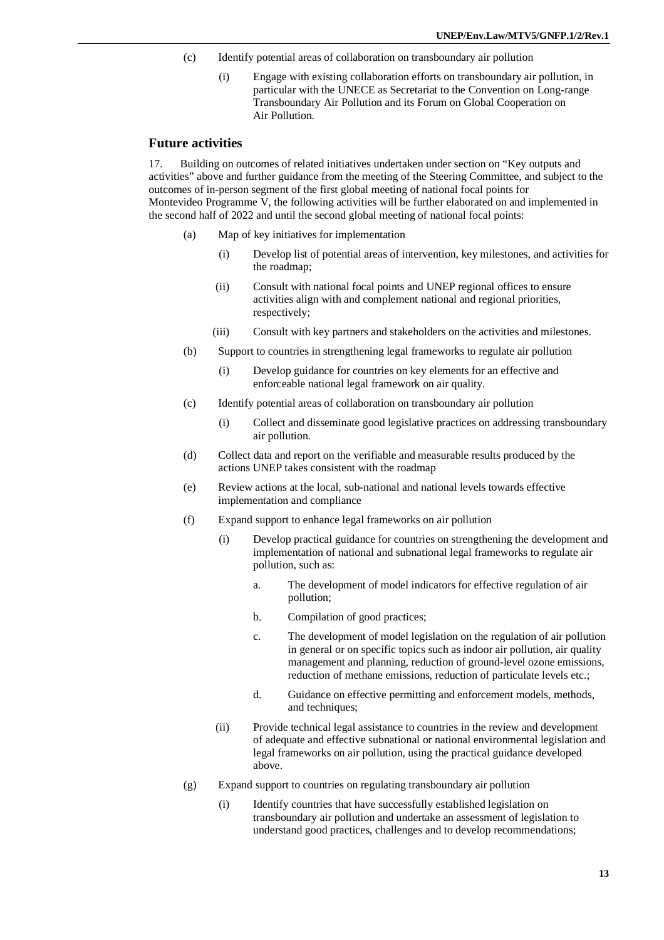- (c) Identify potential areas of collaboration on transboundary air pollution
	- (i) Engage with existing collaboration efforts on transboundary air pollution, in particular with the UNECE as Secretariat to the Convention on Long-range Transboundary Air Pollution and its Forum on Global Cooperation on Air Pollution.

#### **Future activities**

17. Building on outcomes of related initiatives undertaken under section on "Key outputs and activities" above and further guidance from the meeting of the Steering Committee, and subject to the outcomes of in-person segment of the first global meeting of national focal points for Montevideo Programme V, the following activities will be further elaborated on and implemented in the second half of 2022 and until the second global meeting of national focal points:

- (a) Map of key initiatives for implementation
	- (i) Develop list of potential areas of intervention, key milestones, and activities for the roadmap;
	- (ii) Consult with national focal points and UNEP regional offices to ensure activities align with and complement national and regional priorities, respectively;
	- (iii) Consult with key partners and stakeholders on the activities and milestones.
- (b) Support to countries in strengthening legal frameworks to regulate air pollution
	- (i) Develop guidance for countries on key elements for an effective and enforceable national legal framework on air quality.
- (c) Identify potential areas of collaboration on transboundary air pollution
	- (i) Collect and disseminate good legislative practices on addressing transboundary air pollution.
- (d) Collect data and report on the verifiable and measurable results produced by the actions UNEP takes consistent with the roadmap
- (e) Review actions at the local, sub-national and national levels towards effective implementation and compliance
- (f) Expand support to enhance legal frameworks on air pollution
	- (i) Develop practical guidance for countries on strengthening the development and implementation of national and subnational legal frameworks to regulate air pollution, such as:
		- a. The development of model indicators for effective regulation of air pollution;
		- b. Compilation of good practices;
		- c. The development of model legislation on the regulation of air pollution in general or on specific topics such as indoor air pollution, air quality management and planning, reduction of ground-level ozone emissions, reduction of methane emissions, reduction of particulate levels etc.;
		- d. Guidance on effective permitting and enforcement models, methods, and techniques;
	- (ii) Provide technical legal assistance to countries in the review and development of adequate and effective subnational or national environmental legislation and legal frameworks on air pollution, using the practical guidance developed above.
- (g) Expand support to countries on regulating transboundary air pollution
	- (i) Identify countries that have successfully established legislation on transboundary air pollution and undertake an assessment of legislation to understand good practices, challenges and to develop recommendations;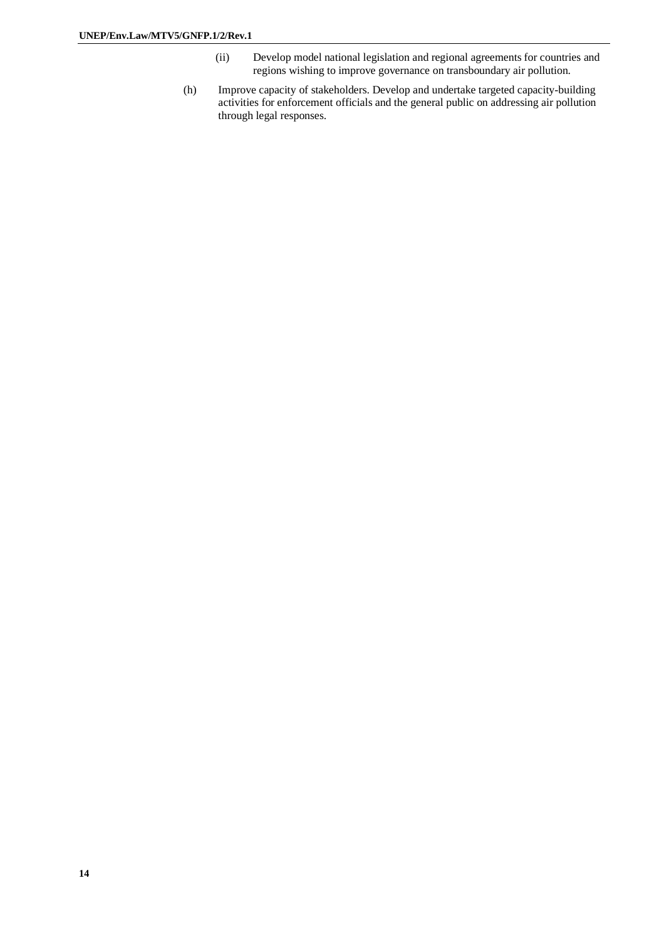- (ii) Develop model national legislation and regional agreements for countries and regions wishing to improve governance on transboundary air pollution.
- (h) Improve capacity of stakeholders. Develop and undertake targeted capacity-building activities for enforcement officials and the general public on addressing air pollution through legal responses.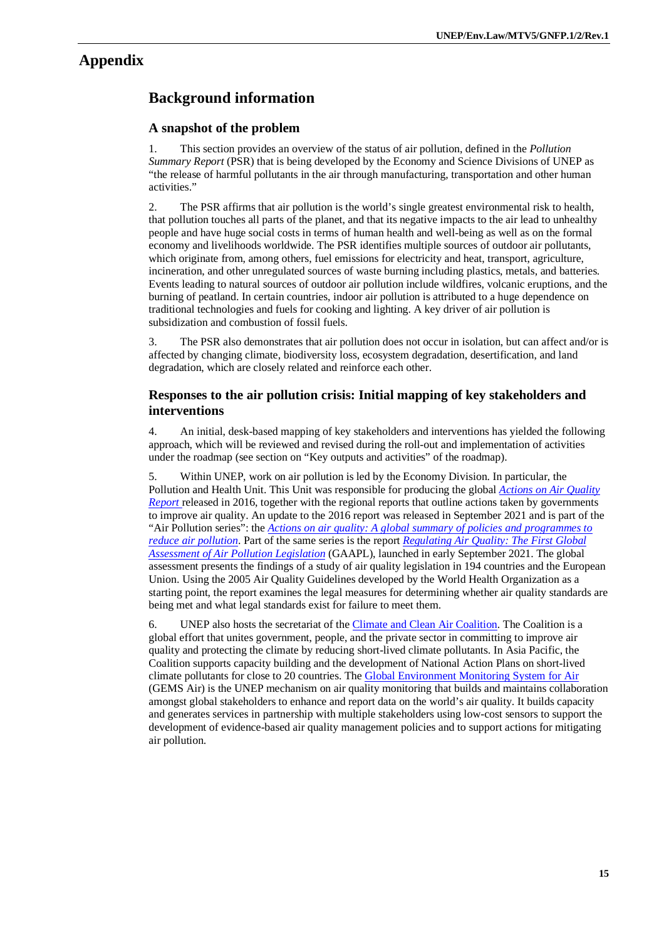#### **Appendix**

## **Background information**

#### **A snapshot of the problem**

1. This section provides an overview of the status of air pollution, defined in the *Pollution Summary Report* (PSR) that is being developed by the Economy and Science Divisions of UNEP as "the release of harmful pollutants in the air through manufacturing, transportation and other human activities."

2. The PSR affirms that air pollution is the world's single greatest environmental risk to health, that pollution touches all parts of the planet, and that its negative impacts to the air lead to unhealthy people and have huge social costs in terms of human health and well-being as well as on the formal economy and livelihoods worldwide. The PSR identifies multiple sources of outdoor air pollutants, which originate from, among others, fuel emissions for electricity and heat, transport, agriculture, incineration, and other unregulated sources of waste burning including plastics, metals, and batteries. Events leading to natural sources of outdoor air pollution include wildfires, volcanic eruptions, and the burning of peatland. In certain countries, indoor air pollution is attributed to a huge dependence on traditional technologies and fuels for cooking and lighting. A key driver of air pollution is subsidization and combustion of fossil fuels.

3. The PSR also demonstrates that air pollution does not occur in isolation, but can affect and/or is affected by changing climate, biodiversity loss, ecosystem degradation, desertification, and land degradation, which are closely related and reinforce each other.

#### **Responses to the air pollution crisis: Initial mapping of key stakeholders and interventions**

4. An initial, desk-based mapping of key stakeholders and interventions has yielded the following approach, which will be reviewed and revised during the roll-out and implementation of activities under the roadmap (see section on "Key outputs and activities" of the roadmap).

5. Within UNEP, work on air pollution is led by the Economy Division. In particular, the Pollution and Health Unit. This Unit was responsible for producing the global *Actions on Air Quality Report* released in 2016, together with the regional reports that outline actions taken by governments to improve air quality. An update to the 2016 report was released in September 2021 and is part of the "Air Pollution series": the *Actions on air quality: A global summary of policies and programmes to reduce air pollution*. Part of the same series is the report *Regulating Air Quality: The First Global Assessment of Air Pollution Legislation* (GAAPL), launched in early September 2021. The global assessment presents the findings of a study of air quality legislation in 194 countries and the European Union. Using the 2005 Air Quality Guidelines developed by the World Health Organization as a starting point, the report examines the legal measures for determining whether air quality standards are being met and what legal standards exist for failure to meet them.

6. UNEP also hosts the secretariat of the Climate and Clean Air Coalition. The Coalition is a global effort that unites government, people, and the private sector in committing to improve air quality and protecting the climate by reducing short-lived climate pollutants. In Asia Pacific, the Coalition supports capacity building and the development of National Action Plans on short-lived climate pollutants for close to 20 countries. The Global Environment Monitoring System for Air (GEMS Air) is the UNEP mechanism on air quality monitoring that builds and maintains collaboration amongst global stakeholders to enhance and report data on the world's air quality. It builds capacity and generates services in partnership with multiple stakeholders using low-cost sensors to support the development of evidence-based air quality management policies and to support actions for mitigating air pollution.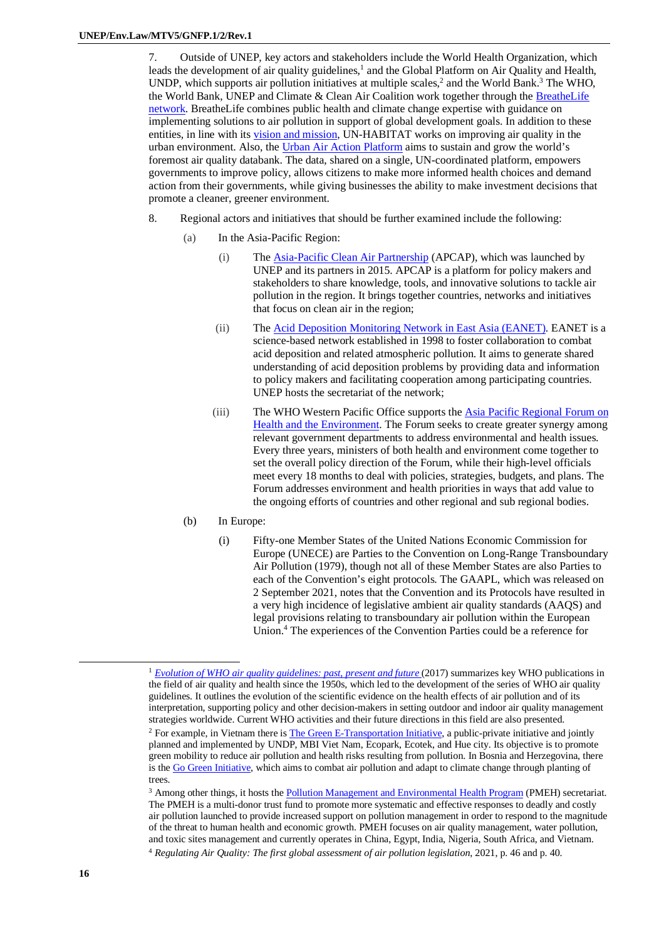7. Outside of UNEP, key actors and stakeholders include the World Health Organization, which leads the development of air quality guidelines,<sup>1</sup> and the Global Platform on Air Quality and Health, UNDP, which supports air pollution initiatives at multiple scales, $<sup>2</sup>$  and the World Bank.<sup>3</sup> The WHO,</sup> the World Bank, UNEP and Climate & Clean Air Coalition work together through the BreatheLife network. BreatheLife combines public health and climate change expertise with guidance on implementing solutions to air pollution in support of global development goals. In addition to these entities, in line with its vision and mission, UN-HABITAT works on improving air quality in the urban environment. Also, the Urban Air Action Platform aims to sustain and grow the world's foremost air quality databank. The data, shared on a single, UN-coordinated platform, empowers governments to improve policy, allows citizens to make more informed health choices and demand action from their governments, while giving businesses the ability to make investment decisions that promote a cleaner, greener environment.

- 8. Regional actors and initiatives that should be further examined include the following:
	- (a) In the Asia-Pacific Region:
		- (i) The Asia-Pacific Clean Air Partnership (APCAP), which was launched by UNEP and its partners in 2015. APCAP is a platform for policy makers and stakeholders to share knowledge, tools, and innovative solutions to tackle air pollution in the region. It brings together countries, networks and initiatives that focus on clean air in the region;
		- (ii) The Acid Deposition Monitoring Network in East Asia (EANET). EANET is a science-based network established in 1998 to foster collaboration to combat acid deposition and related atmospheric pollution. It aims to generate shared understanding of acid deposition problems by providing data and information to policy makers and facilitating cooperation among participating countries. UNEP hosts the secretariat of the network;
		- (iii) The WHO Western Pacific Office supports the Asia Pacific Regional Forum on Health and the Environment. The Forum seeks to create greater synergy among relevant government departments to address environmental and health issues. Every three years, ministers of both health and environment come together to set the overall policy direction of the Forum, while their high-level officials meet every 18 months to deal with policies, strategies, budgets, and plans. The Forum addresses environment and health priorities in ways that add value to the ongoing efforts of countries and other regional and sub regional bodies.
	- (b) In Europe:
		- (i) Fifty-one Member States of the United Nations Economic Commission for Europe (UNECE) are Parties to the Convention on Long-Range Transboundary Air Pollution (1979), though not all of these Member States are also Parties to each of the Convention's eight protocols. The GAAPL, which was released on 2 September 2021, notes that the Convention and its Protocols have resulted in a very high incidence of legislative ambient air quality standards (AAQS) and legal provisions relating to transboundary air pollution within the European Union.<sup>4</sup> The experiences of the Convention Parties could be a reference for

<sup>&</sup>lt;sup>1</sup> *Evolution of WHO air quality guidelines: past, present and future* (2017) summarizes key WHO publications in the field of air quality and health since the 1950s, which led to the development of the series of WHO air quality guidelines. It outlines the evolution of the scientific evidence on the health effects of air pollution and of its interpretation, supporting policy and other decision-makers in setting outdoor and indoor air quality management strategies worldwide. Current WHO activities and their future directions in this field are also presented.

<sup>&</sup>lt;sup>2</sup> For example, in Vietnam there is **The Green E-Transportation Initiative**, a public-private initiative and jointly planned and implemented by UNDP, MBI Viet Nam, Ecopark, Ecotek, and Hue city. Its objective is to promote green mobility to reduce air pollution and health risks resulting from pollution. In Bosnia and Herzegovina, there is the Go Green Initiative, which aims to combat air pollution and adapt to climate change through planting of trees.

<sup>3</sup> Among other things, it hosts the Pollution Management and Environmental Health Program (PMEH) secretariat. The PMEH is a multi-donor trust fund to promote more systematic and effective responses to deadly and costly air pollution launched to provide increased support on pollution management in order to respond to the magnitude of the threat to human health and economic growth. PMEH focuses on air quality management, water pollution, and toxic sites management and currently operates in China, Egypt, India, Nigeria, South Africa, and Vietnam. <sup>4</sup> *Regulating Air Quality: The first global assessment of air pollution legislation*, 2021, p. 46 and p. 40.